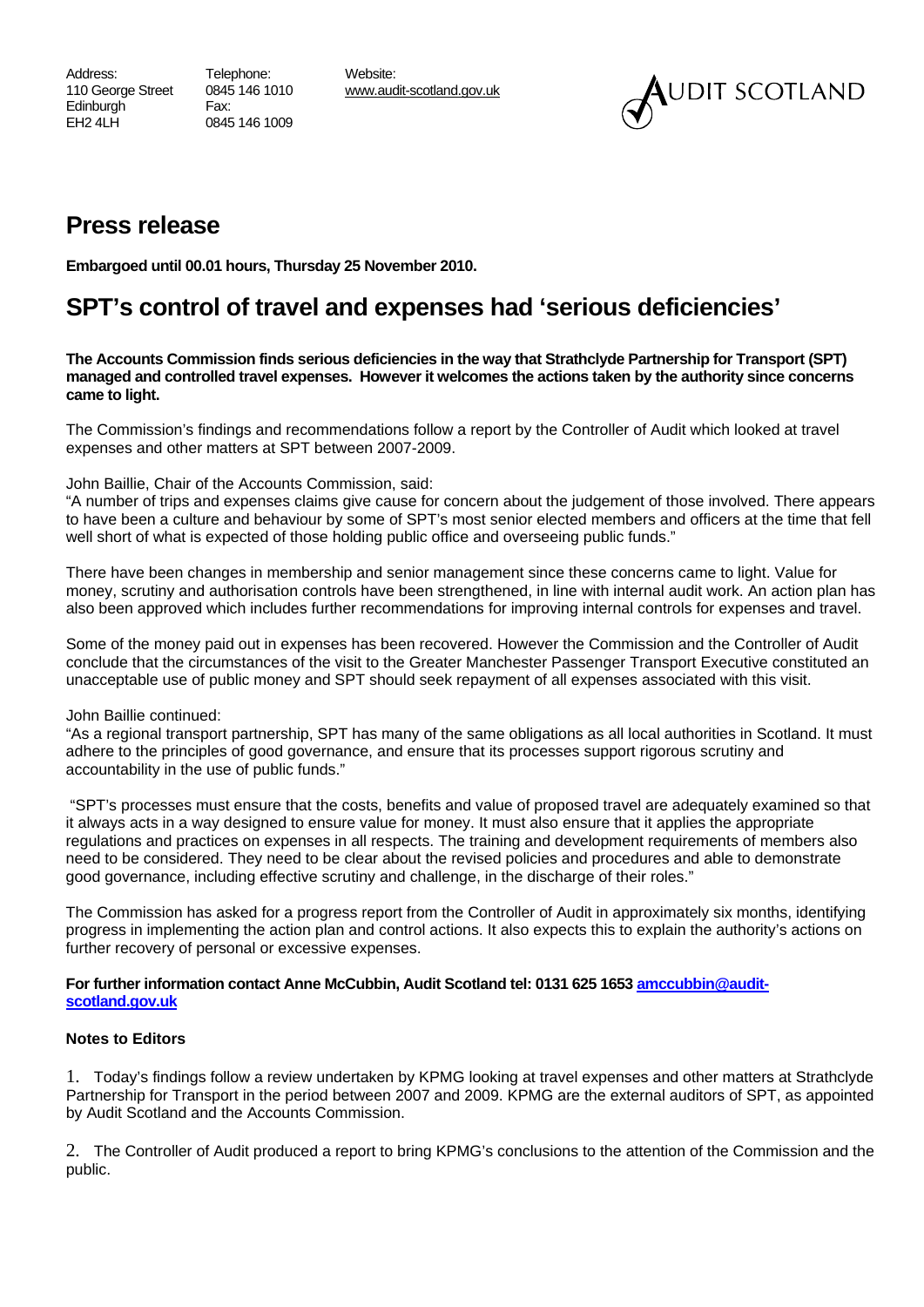Address: Telephone: Website: Edinburgh **Fax:** EH2 4LH 0845 146 1009

110 George Street 0845 146 1010 www.audit-scotland.gov.uk



## **Press release**

**Embargoed until 00.01 hours, Thursday 25 November 2010.** 

## **SPT's control of travel and expenses had 'serious deficiencies'**

**The Accounts Commission finds serious deficiencies in the way that Strathclyde Partnership for Transport (SPT) managed and controlled travel expenses. However it welcomes the actions taken by the authority since concerns came to light.** 

The Commission's findings and recommendations follow a report by the Controller of Audit which looked at travel expenses and other matters at SPT between 2007-2009.

John Baillie, Chair of the Accounts Commission, said:

"A number of trips and expenses claims give cause for concern about the judgement of those involved. There appears to have been a culture and behaviour by some of SPT's most senior elected members and officers at the time that fell well short of what is expected of those holding public office and overseeing public funds."

There have been changes in membership and senior management since these concerns came to light. Value for money, scrutiny and authorisation controls have been strengthened, in line with internal audit work. An action plan has also been approved which includes further recommendations for improving internal controls for expenses and travel.

Some of the money paid out in expenses has been recovered. However the Commission and the Controller of Audit conclude that the circumstances of the visit to the Greater Manchester Passenger Transport Executive constituted an unacceptable use of public money and SPT should seek repayment of all expenses associated with this visit.

John Baillie continued:

"As a regional transport partnership, SPT has many of the same obligations as all local authorities in Scotland. It must adhere to the principles of good governance, and ensure that its processes support rigorous scrutiny and accountability in the use of public funds."

 "SPT's processes must ensure that the costs, benefits and value of proposed travel are adequately examined so that it always acts in a way designed to ensure value for money. It must also ensure that it applies the appropriate regulations and practices on expenses in all respects. The training and development requirements of members also need to be considered. They need to be clear about the revised policies and procedures and able to demonstrate good governance, including effective scrutiny and challenge, in the discharge of their roles."

The Commission has asked for a progress report from the Controller of Audit in approximately six months, identifying progress in implementing the action plan and control actions. It also expects this to explain the authority's actions on further recovery of personal or excessive expenses.

## scotland.gov.uk **For further information contact Anne McCubbin, Audit Scotland tel: 0131 625 1653 amccubbin@audit-**

## **Notes to Editors**

1. Today's findings follow a review undertaken by KPMG looking at travel expenses and other matters at Strathclyde Partnership for Transport in the period between 2007 and 2009. KPMG are the external auditors of SPT, as appointed by Audit Scotland and the Accounts Commission.

2. The Controller of Audit produced a report to bring KPMG's conclusions to the attention of the Commission and the public.